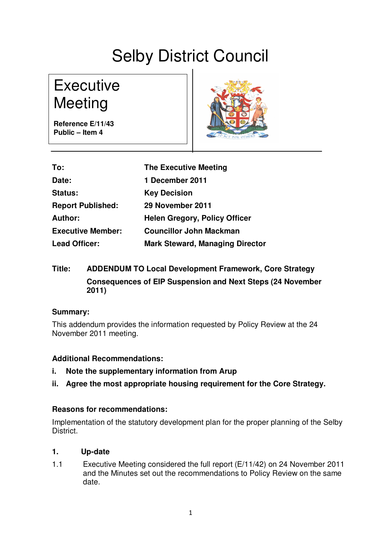# Selby District Council

**Executive** Meeting

**Reference E/11/43 Public – Item 4**



| To:                      | <b>The Executive Meeting</b>           |
|--------------------------|----------------------------------------|
| Date:                    | 1 December 2011                        |
| <b>Status:</b>           | <b>Key Decision</b>                    |
| <b>Report Published:</b> | 29 November 2011                       |
| <b>Author:</b>           | <b>Helen Gregory, Policy Officer</b>   |
| <b>Executive Member:</b> | <b>Councillor John Mackman</b>         |
| <b>Lead Officer:</b>     | <b>Mark Steward, Managing Director</b> |

# **Title: ADDENDUM TO Local Development Framework, Core Strategy Consequences of EIP Suspension and Next Steps (24 November 2011)**

# **Summary:**

This addendum provides the information requested by Policy Review at the 24 November 2011 meeting.

# **Additional Recommendations:**

- **i. Note the supplementary information from Arup**
- **ii. Agree the most appropriate housing requirement for the Core Strategy.**

# **Reasons for recommendations:**

Implementation of the statutory development plan for the proper planning of the Selby District.

# **1. Up-date**

1.1 Executive Meeting considered the full report (E/11/42) on 24 November 2011 and the Minutes set out the recommendations to Policy Review on the same date.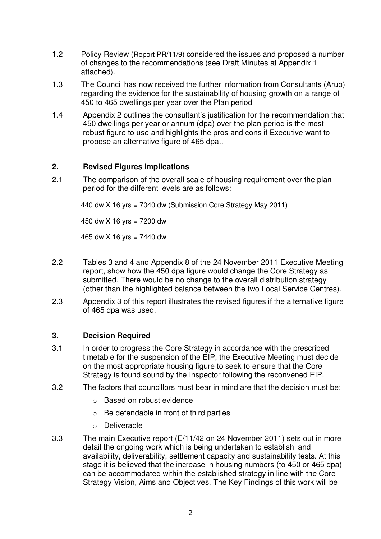- of changes to the recommendations (see Draft Minutes at Appendix 1 attached).
- 1.3 The Council has now received the further information from Consultants (Arup) regarding the evidence for the sustainability of housing growth on a range of 450 to 465 dwellings per year over the Plan period
- 1.4 Appendix 2 outlines the consultant's justification for the recommendation that 450 dwellings per year or annum (dpa) over the plan period is the most robust figure to use and highlights the pros and cons if Executive want to propose an alternative figure of 465 dpa..

# **2. Revised Figures Implications**

2.1 The comparison of the overall scale of housing requirement over the plan period for the different levels are as follows:

440 dw X 16 yrs = 7040 dw (Submission Core Strategy May 2011)

450 dw X 16 yrs = 7200 dw

465 dw  $X$  16 yrs = 7440 dw

- 2.2 Tables 3 and 4 and Appendix 8 of the 24 November 2011 Executive Meeting report, show how the 450 dpa figure would change the Core Strategy as submitted. There would be no change to the overall distribution strategy (other than the highlighted balance between the two Local Service Centres).
- 2.3 Appendix 3 of this report illustrates the revised figures if the alternative figure of 465 dpa was used.

# **3. Decision Required**

- 3.1 In order to progress the Core Strategy in accordance with the prescribed timetable for the suspension of the EIP, the Executive Meeting must decide on the most appropriate housing figure to seek to ensure that the Core Strategy is found sound by the Inspector following the reconvened EIP.
- 3.2 The factors that councillors must bear in mind are that the decision must be:
	- o Based on robust evidence
	- o Be defendable in front of third parties
	- o Deliverable
- 1.2 Policy Review (Report PR/11/9) considered the issues and proposed a number<br>of changes to the recommendations (see Drat Minutes at Appendix 1<br>and choose.<br>The Council has now received the further information from Consul 3.3 The main Executive report (E/11/42 on 24 November 2011) sets out in more detail the ongoing work which is being undertaken to establish land availability, deliverability, settlement capacity and sustainability tests. At this stage it is believed that the increase in housing numbers (to 450 or 465 dpa) can be accommodated within the established strategy in line with the Core Strategy Vision, Aims and Objectives. The Key Findings of this work will be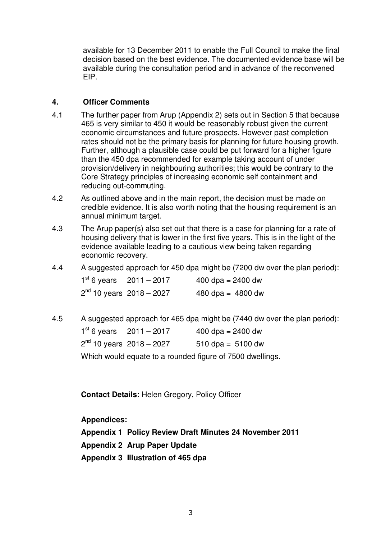available for 13 December 2011 to enable the Full Council to make the final decision based on the best evidence. The documented evidence base will be available during the consultation period and in advance of the reconvened EIP.

### **4. Officer Comments**

- 4.1 The further paper from Arup (Appendix 2) sets out in Section 5 that because 465 is very similar to 450 it would be reasonably robust given the current economic circumstances and future prospects. However past completion rates should not be the primary basis for planning for future housing growth. Further, although a plausible case could be put forward for a higher figure than the 450 dpa recommended for example taking account of under provision/delivery in neighbouring authorities; this would be contrary to the Core Strategy principles of increasing economic self containment and reducing out-commuting.
- 4.2 As outlined above and in the main report, the decision must be made on credible evidence. It is also worth noting that the housing requirement is an annual minimum target.
- 4.3 The Arup paper(s) also set out that there is a case for planning for a rate of housing delivery that is lower in the first five years. This is in the light of the evidence available leading to a cautious view being taken regarding economic recovery.
- 4.4 A suggested approach for 450 dpa might be (7200 dw over the plan period):

| $1st 6 years$ 2011 – 2017    | 400 dpa = $2400$ dw |
|------------------------------|---------------------|
| $2nd$ 10 years $2018 - 2027$ | 480 dpa = $4800$ dw |

4.5 A suggested approach for 465 dpa might be (7440 dw over the plan period):

| $1st 6 years$ 2011 – 2017       | 400 dpa = $2400$ dw   |
|---------------------------------|-----------------------|
| $2^{nd}$ 10 years $2018 - 2027$ | $510$ dpa = $5100$ dw |

Which would equate to a rounded figure of 7500 dwellings.

**Contact Details:** Helen Gregory, Policy Officer

**Appendices:**

**Appendix 1 Policy Review Draft Minutes 24 November 2011**

**Appendix 2 Arup Paper Update**

**Appendix 3 Illustration of 465 dpa**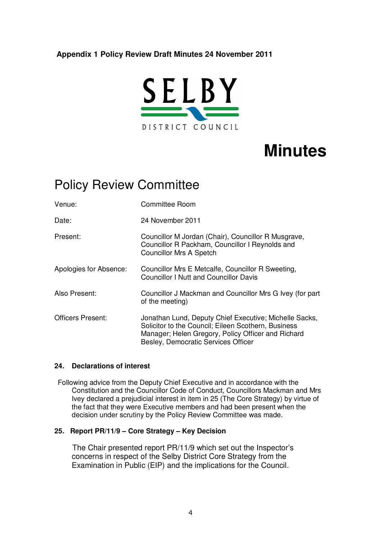# **Appendix 1 Policy Review Draft Minutes 24 November 2011**



# **Minutes**

# Policy Review Committee

Venue: Committee Room Date: 24 November 2011 Present: Councillor M Jordan (Chair), Councillor R Musgrave, Councillor R Packham, Councillor I Reynolds and Councillor Mrs A Spetch Apologies for Absence: Councillor Mrs E Metcalfe, Councillor R Sweeting, Councillor I Nutt and Councillor Davis Also Present: Councillor J Mackman and Councillor Mrs G Ivey (for part of the meeting) Officers Present: Jonathan Lund, Deputy Chief Executive; Michelle Sacks, Solicitor to the Council; Eileen Scothern, Business Manager; Helen Gregory, Policy Officer and Richard Besley, Democratic Services Officer

#### **24. Declarations of interest**

Following advice from the Deputy Chief Executive and in accordance with the Constitution and the Councillor Code of Conduct, Councillors Mackman and Mrs Ivey declared a prejudicial interest in item in 25 (The Core Strategy) by virtue of the fact that they were Executive members and had been present when the decision under scrutiny by the Policy Review Committee was made.

#### **25. Report PR/11/9 – Core Strategy – Key Decision**

The Chair presented report PR/11/9 which set out the Inspector's concerns in respect of the Selby District Core Strategy from the Examination in Public (EIP) and the implications for the Council.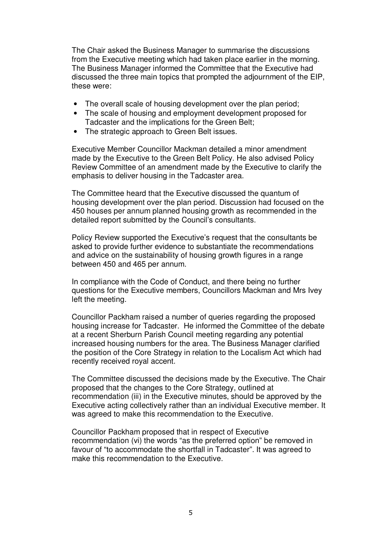The Chair asked the Business Manager to summarise the discussions from the Executive meeting which had taken place earlier in the morning. The Business Manager informed the Committee that the Executive had discussed the three main topics that prompted the adjournment of the EIP, these were:

- The overall scale of housing development over the plan period;
- The scale of housing and employment development proposed for Tadcaster and the implications for the Green Belt;
- The strategic approach to Green Belt issues.

Executive Member Councillor Mackman detailed a minor amendment made by the Executive to the Green Belt Policy. He also advised Policy Review Committee of an amendment made by the Executive to clarify the emphasis to deliver housing in the Tadcaster area.

The Committee heard that the Executive discussed the quantum of housing development over the plan period. Discussion had focused on the 450 houses per annum planned housing growth as recommended in the detailed report submitted by the Council's consultants.

Policy Review supported the Executive's request that the consultants be asked to provide further evidence to substantiate the recommendations and advice on the sustainability of housing growth figures in a range between 450 and 465 per annum.

In compliance with the Code of Conduct, and there being no further questions for the Executive members, Councillors Mackman and Mrs Ivey left the meeting.

Councillor Packham raised a number of queries regarding the proposed housing increase for Tadcaster. He informed the Committee of the debate at a recent Sherburn Parish Council meeting regarding any potential increased housing numbers for the area. The Business Manager clarified the position of the Core Strategy in relation to the Localism Act which had recently received royal accent.

The Committee discussed the decisions made by the Executive. The Chair proposed that the changes to the Core Strategy, outlined at recommendation (iii) in the Executive minutes, should be approved by the Executive acting collectively rather than an individual Executive member. It was agreed to make this recommendation to the Executive.

Councillor Packham proposed that in respect of Executive recommendation (vi) the words "as the preferred option" be removed in favour of "to accommodate the shortfall in Tadcaster". It was agreed to make this recommendation to the Executive.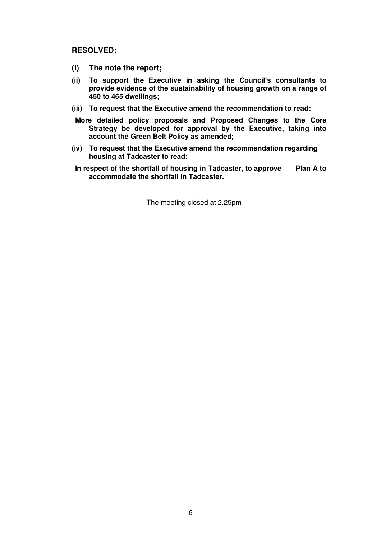**RESOLVED:**

- **(i) The note the report;**
- **(ii) To support the Executive in asking the Council's consultants to provide evidence of the sustainability of housing growth on a range of 450 to 465 dwellings;**
- **(iii) To request that the Executive amend the recommendation to read:**
- **More detailed policy proposals and Proposed Changes to the Core Strategy be developed for approval by the Executive, taking into account the Green Belt Policy as amended;**
- **(iv) To request that the Executive amend the recommendation regarding housing at Tadcaster to read:**
- **In respect of the shortfall of housing in Tadcaster, to approve Plan A to accommodate the shortfall in Tadcaster.**

The meeting closed at 2.25pm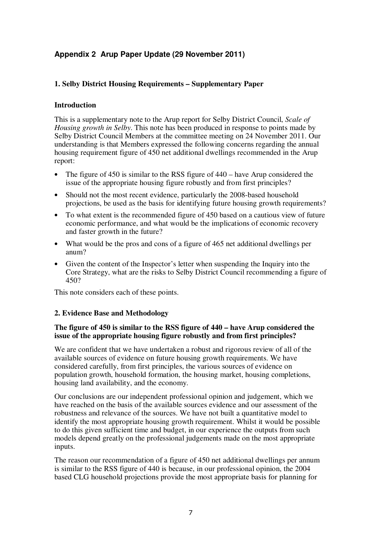# **Appendix 2 Arup Paper Update (29 November 2011)**

### **1. Selby District Housing Requirements – Supplementary Paper**

#### **Introduction**

This is a supplementary note to the Arup report for Selby District Council, *Scale of Housing growth in Selby*. This note has been produced in response to points made by Selby District Council Members at the committee meeting on 24 November 2011. Our understanding is that Members expressed the following concerns regarding the annual housing requirement figure of 450 net additional dwellings recommended in the Arup report:

- The figure of 450 is similar to the RSS figure of 440 have Arup considered the issue of the appropriate housing figure robustly and from first principles?
- Should not the most recent evidence, particularly the 2008-based household projections, be used as the basis for identifying future housing growth requirements?
- To what extent is the recommended figure of 450 based on a cautious view of future economic performance, and what would be the implications of economic recovery and faster growth in the future?
- What would be the pros and cons of a figure of 465 net additional dwellings per anum?
- Given the content of the Inspector's letter when suspending the Inquiry into the Core Strategy, what are the risks to Selby District Council recommending a figure of 450?

This note considers each of these points.

#### **2. Evidence Base and Methodology**

#### **The figure of 450 is similar to the RSS figure of 440 – have Arup considered the issue of the appropriate housing figure robustly and from first principles?**

We are confident that we have undertaken a robust and rigorous review of all of the available sources of evidence on future housing growth requirements. We have considered carefully, from first principles, the various sources of evidence on population growth, household formation, the housing market, housing completions, housing land availability, and the economy.

Our conclusions are our independent professional opinion and judgement, which we have reached on the basis of the available sources evidence and our assessment of the robustness and relevance of the sources. We have not built a quantitative model to identify the most appropriate housing growth requirement. Whilst it would be possible to do this given sufficient time and budget, in our experience the outputs from such models depend greatly on the professional judgements made on the most appropriate inputs.

The reason our recommendation of a figure of 450 net additional dwellings per annum is similar to the RSS figure of 440 is because, in our professional opinion, the 2004 based CLG household projections provide the most appropriate basis for planning for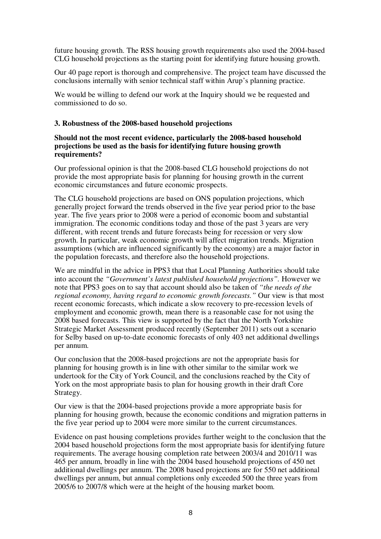future housing growth. The RSS housing growth requirements also used the 2004-based CLG household projections as the starting point for identifying future housing growth.

Our 40 page report is thorough and comprehensive. The project team have discussed the conclusions internally with senior technical staff within Arup's planning practice.

We would be willing to defend our work at the Inquiry should we be requested and commissioned to do so.

#### **3. Robustness of the 2008-based household projections**

#### **Should not the most recent evidence, particularly the 2008-based household projections be used as the basis for identifying future housing growth requirements?**

Our professional opinion is that the 2008-based CLG household projections do not provide the most appropriate basis for planning for housing growth in the current economic circumstances and future economic prospects.

The CLG household projections are based on ONS population projections, which generally project forward the trends observed in the five year period prior to the base year. The five years prior to 2008 were a period of economic boom and substantial immigration. The economic conditions today and those of the past 3 years are very different, with recent trends and future forecasts being for recession or very slow growth. In particular, weak economic growth will affect migration trends. Migration assumptions (which are influenced significantly by the economy) are a major factor in the population forecasts, and therefore also the household projections.

We are mindful in the advice in PPS3 that that Local Planning Authorities should take into account the *"Government's latest published household projections".* However we note that PPS3 goes on to say that account should also be taken of *"the needs of the regional economy, having regard to economic growth forecasts."* Our view is that most recent economic forecasts, which indicate a slow recovery to pre-recession levels of employment and economic growth, mean there is a reasonable case for not using the 2008 based forecasts. This view is supported by the fact that the North Yorkshire Strategic Market Assessment produced recently (September 2011) sets out a scenario for Selby based on up-to-date economic forecasts of only 403 net additional dwellings per annum.

Our conclusion that the 2008-based projections are not the appropriate basis for planning for housing growth is in line with other similar to the similar work we undertook for the City of York Council, and the conclusions reached by the City of York on the most appropriate basis to plan for housing growth in their draft Core Strategy.

Our view is that the 2004-based projections provide a more appropriate basis for planning for housing growth, because the economic conditions and migration patterns in the five year period up to 2004 were more similar to the current circumstances.

Evidence on past housing completions provides further weight to the conclusion that the 2004 based household projections form the most appropriate basis for identifying future requirements. The average housing completion rate between 2003/4 and 2010/11 was 465 per annum, broadly in line with the 2004 based household projections of 450 net additional dwellings per annum. The 2008 based projections are for 550 net additional dwellings per annum, but annual completions only exceeded 500 the three years from 2005/6 to 2007/8 which were at the height of the housing market boom.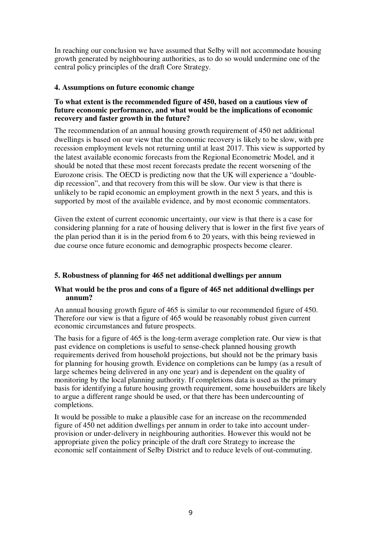In reaching our conclusion we have assumed that Selby will not accommodate housing growth generated by neighbouring authorities, as to do so would undermine one of the central policy principles of the draft Core Strategy.

#### **4. Assumptions on future economic change**

#### **To what extent is the recommended figure of 450, based on a cautious view of future economic performance, and what would be the implications of economic recovery and faster growth in the future?**

The recommendation of an annual housing growth requirement of 450 net additional dwellings is based on our view that the economic recovery is likely to be slow, with pre recession employment levels not returning until at least 2017. This view is supported by the latest available economic forecasts from the Regional Econometric Model, and it should be noted that these most recent forecasts predate the recent worsening of the Eurozone crisis. The OECD is predicting now that the UK will experience a "doubledip recession", and that recovery from this will be slow. Our view is that there is unlikely to be rapid economic an employment growth in the next 5 years, and this is supported by most of the available evidence, and by most economic commentators.

Given the extent of current economic uncertainty, our view is that there is a case for considering planning for a rate of housing delivery that is lower in the first five years of the plan period than it is in the period from 6 to 20 years, with this being reviewed in due course once future economic and demographic prospects become clearer.

### **5. Robustness of planning for 465 net additional dwellings per annum**

#### **What would be the pros and cons of a figure of 465 net additional dwellings per annum?**

An annual housing growth figure of 465 is similar to our recommended figure of 450. Therefore our view is that a figure of 465 would be reasonably robust given current economic circumstances and future prospects.

The basis for a figure of 465 is the long-term average completion rate. Our view is that past evidence on completions is useful to sense-check planned housing growth requirements derived from household projections, but should not be the primary basis for planning for housing growth. Evidence on completions can be lumpy (as a result of large schemes being delivered in any one year) and is dependent on the quality of monitoring by the local planning authority. If completions data is used as the primary basis for identifying a future housing growth requirement, some housebuilders are likely to argue a different range should be used, or that there has been undercounting of completions.

It would be possible to make a plausible case for an increase on the recommended figure of 450 net addition dwellings per annum in order to take into account underprovision or under-delivery in neighbouring authorities. However this would not be appropriate given the policy principle of the draft core Strategy to increase the economic self containment of Selby District and to reduce levels of out-commuting.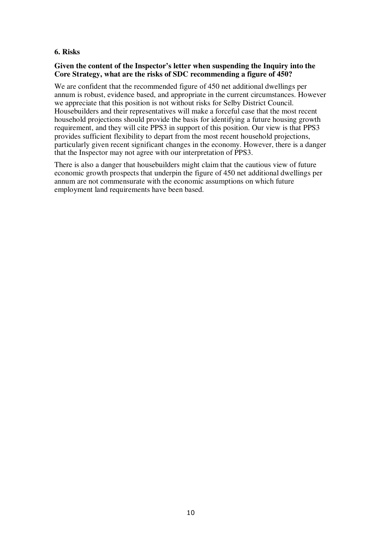#### **6. Risks**

#### **Given the content of the Inspector's letter when suspending the Inquiry into the Core Strategy, what are the risks of SDC recommending a figure of 450?**

We are confident that the recommended figure of 450 net additional dwellings per annum is robust, evidence based, and appropriate in the current circumstances. However we appreciate that this position is not without risks for Selby District Council. Housebuilders and their representatives will make a forceful case that the most recent household projections should provide the basis for identifying a future housing growth requirement, and they will cite PPS3 in support of this position. Our view is that PPS3 provides sufficient flexibility to depart from the most recent household projections, particularly given recent significant changes in the economy. However, there is a danger that the Inspector may not agree with our interpretation of PPS3.

There is also a danger that housebuilders might claim that the cautious view of future economic growth prospects that underpin the figure of 450 net additional dwellings per annum are not commensurate with the economic assumptions on which future employment land requirements have been based.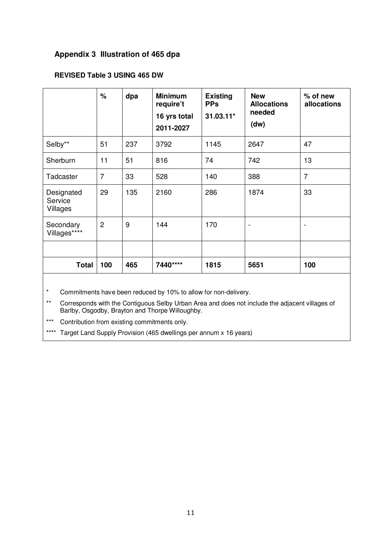# **Appendix 3 Illustration of 465 dpa**

## **REVISED Table 3 USING 465 DW**

|                                   | %              | dpa | <b>Minimum</b><br>require't<br>16 yrs total<br>2011-2027 | <b>Existing</b><br><b>PPs</b><br>$31.03.11*$ | <b>New</b><br><b>Allocations</b><br>needed<br>(dw) | $%$ of new<br>allocations |
|-----------------------------------|----------------|-----|----------------------------------------------------------|----------------------------------------------|----------------------------------------------------|---------------------------|
| Selby**                           | 51             | 237 | 3792                                                     | 1145                                         | 2647                                               | 47                        |
| Sherburn                          | 11             | 51  | 816                                                      | 74                                           | 742                                                | 13                        |
| Tadcaster                         | $\overline{7}$ | 33  | 528                                                      | 140                                          | 388                                                | $\overline{7}$            |
| Designated<br>Service<br>Villages | 29             | 135 | 2160                                                     | 286                                          | 1874                                               | 33                        |
| Secondary<br>Villages****         | $\overline{2}$ | 9   | 144                                                      | 170                                          |                                                    |                           |
|                                   |                |     |                                                          |                                              |                                                    |                           |
| <b>Total</b>                      | 100            | 465 | 7440****                                                 | 1815                                         | 5651                                               | 100                       |

\* Commitments have been reduced by 10% to allow for non-delivery.

\*\* Corresponds with the Contiguous Selby Urban Area and does not include the adjacent villages of Barlby, Osgodby, Brayton and Thorpe Willoughby.

\*\*\* Contribution from existing commitments only.

\*\*\*\* Target Land Supply Provision (465 dwellings per annum x 16 years)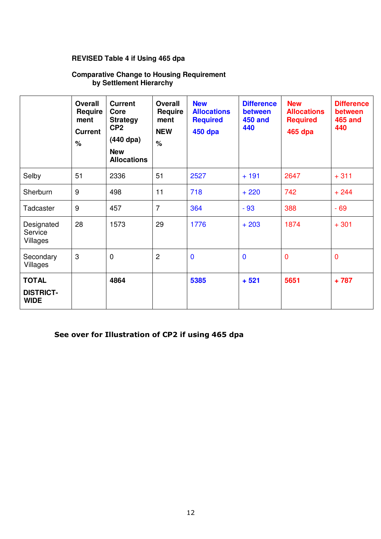#### **Comparative Change to Housing Requirement by Settlement Hierarchy**

| REVISED Table 4 if Using 465 dpa                                            |                                                             |                                                                                                                 |                                                                |                                                                       |                                                       |                                                                |                                                       |
|-----------------------------------------------------------------------------|-------------------------------------------------------------|-----------------------------------------------------------------------------------------------------------------|----------------------------------------------------------------|-----------------------------------------------------------------------|-------------------------------------------------------|----------------------------------------------------------------|-------------------------------------------------------|
| <b>Comparative Change to Housing Requirement</b><br>by Settlement Hierarchy |                                                             |                                                                                                                 |                                                                |                                                                       |                                                       |                                                                |                                                       |
|                                                                             | <b>Overall</b><br>Require<br>ment<br><b>Current</b><br>$\%$ | <b>Current</b><br>Core<br><b>Strategy</b><br>CP <sub>2</sub><br>$(440$ dpa)<br><b>New</b><br><b>Allocations</b> | <b>Overall</b><br><b>Require</b><br>ment<br><b>NEW</b><br>$\%$ | <b>New</b><br><b>Allocations</b><br><b>Required</b><br><b>450 dpa</b> | <b>Difference</b><br>between<br><b>450 and</b><br>440 | <b>New</b><br><b>Allocations</b><br><b>Required</b><br>465 dpa | <b>Difference</b><br>between<br><b>465 and</b><br>440 |
| Selby                                                                       | 51                                                          | 2336                                                                                                            | 51                                                             | 2527                                                                  | $+191$                                                | 2647                                                           | $+311$                                                |
| Sherburn                                                                    | 9                                                           | 498                                                                                                             | 11                                                             | 718                                                                   | $+220$                                                | 742                                                            | $+244$                                                |
| Tadcaster                                                                   | 9                                                           | 457                                                                                                             | $\overline{7}$                                                 | 364                                                                   | $-93$                                                 | 388                                                            | $-69$                                                 |
| Designated<br>Service<br>Villages                                           | 28                                                          | 1573                                                                                                            | 29                                                             | 1776                                                                  | $+203$                                                | 1874                                                           | $+301$                                                |
| Secondary<br>Villages                                                       | $\boldsymbol{\mathrm{3}}$                                   | $\mathbf 0$                                                                                                     | $\overline{2}$                                                 | $\mathbf 0$                                                           | $\mathbf{0}$                                          | $\overline{0}$                                                 | $\mathbf 0$                                           |
| <b>TOTAL</b>                                                                |                                                             | 4864                                                                                                            |                                                                | 5385                                                                  | $+521$                                                | 5651                                                           | $+787$                                                |
| <b>DISTRICT-</b><br><b>WIDE</b>                                             |                                                             |                                                                                                                 |                                                                |                                                                       |                                                       |                                                                |                                                       |
|                                                                             |                                                             |                                                                                                                 |                                                                | See over for Illustration of CP2 if using 465 dpa                     |                                                       |                                                                |                                                       |
|                                                                             |                                                             |                                                                                                                 |                                                                |                                                                       |                                                       |                                                                |                                                       |
|                                                                             |                                                             |                                                                                                                 |                                                                | 12                                                                    |                                                       |                                                                |                                                       |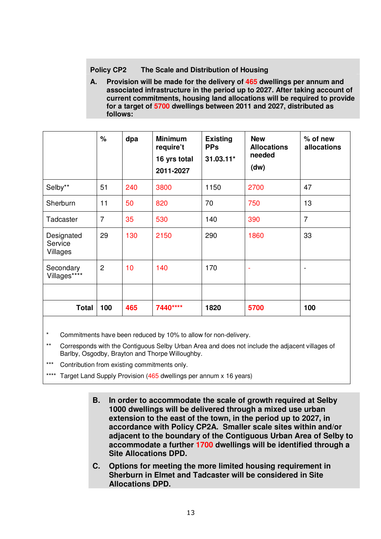### **Policy CP2 The Scale and Distribution of Housing**

**A. Provision will be made for the delivery of 465 dwellings per annum and associated infrastructure in the period up to 2027. After taking account of current commitments, housing land allocations will be required to provide for a target of 5700 dwellings between 2011 and 2027, distributed as follows:**

|                                   | $\frac{1}{2}$  | dpa | <b>Minimum</b><br>require't<br>16 yrs total<br>2011-2027 | <b>Existing</b><br><b>PPs</b><br>31.03.11* | <b>New</b><br><b>Allocations</b><br>needed<br>(dw) | $%$ of new<br>allocations |
|-----------------------------------|----------------|-----|----------------------------------------------------------|--------------------------------------------|----------------------------------------------------|---------------------------|
| Selby**                           | 51             | 240 | 3800                                                     | 1150                                       | 2700                                               | 47                        |
| Sherburn                          | 11             | 50  | 820                                                      | 70                                         | 750                                                | 13                        |
| Tadcaster                         | $\overline{7}$ | 35  | 530                                                      | 140                                        | 390                                                | $\overline{7}$            |
| Designated<br>Service<br>Villages | 29             | 130 | 2150                                                     | 290                                        | 1860                                               | 33                        |
| Secondary<br>Villages****         | $\overline{2}$ | 10  | 140                                                      | 170                                        |                                                    |                           |
|                                   |                |     |                                                          |                                            |                                                    |                           |
| <b>Total</b>                      | 100            | 465 | 7440****                                                 | 1820                                       | 5700                                               | 100                       |

\* Commitments have been reduced by 10% to allow for non-delivery.

\*\* Corresponds with the Contiguous Selby Urban Area and does not include the adjacent villages of Barlby, Osgodby, Brayton and Thorpe Willoughby.

\*\*\* Contribution from existing commitments only.

\*\*\*\* Target Land Supply Provision (465 dwellings per annum x 16 years)

- **B. In order to accommodate the scale of growth required at Selby 1000 dwellings will be delivered through a mixed use urban extension to the east of the town, in the period up to 2027, in accordance with Policy CP2A. Smaller scale sites within and/or adjacent to the boundary of the Contiguous Urban Area of Selby to accommodate a further 1700 dwellings will be identified through a Site Allocations DPD.**
- **C. Options for meeting the more limited housing requirement in Sherburn in Elmet and Tadcaster will be considered in Site Allocations DPD.**